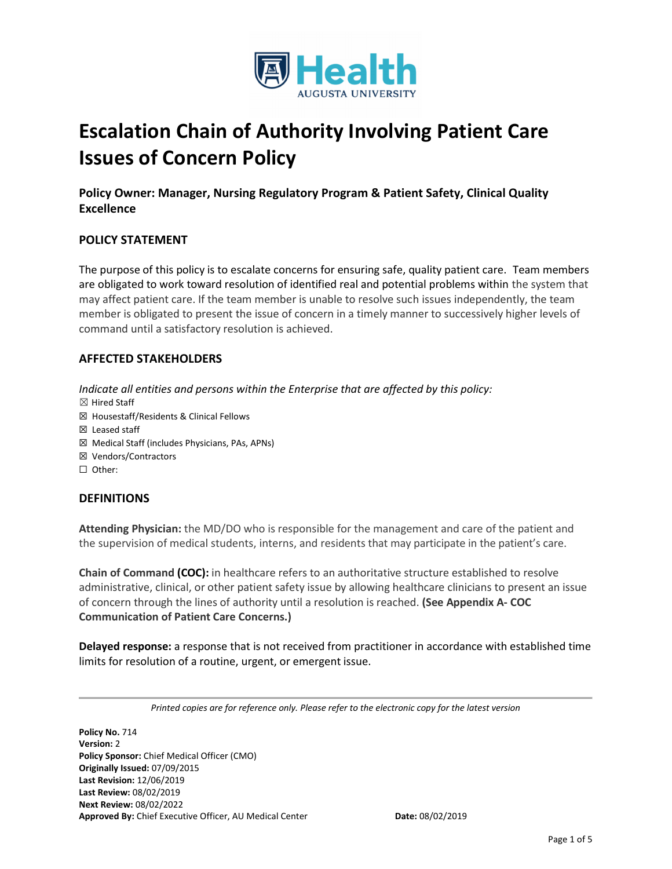

# **Escalation Chain of Authority Involving Patient Care Issues of Concern Policy**

**Policy Owner: Manager, Nursing Regulatory Program & Patient Safety, Clinical Quality Excellence** 

#### **POLICY STATEMENT**

The purpose of this policy is to escalate concerns for ensuring safe, quality patient care. Team members are obligated to work toward resolution of identified real and potential problems within the system that may affect patient care. If the team member is unable to resolve such issues independently, the team member is obligated to present the issue of concern in a timely manner to successively higher levels of command until a satisfactory resolution is achieved.

### **AFFECTED STAKEHOLDERS**

*Indicate all entities and persons within the Enterprise that are affected by this policy:* 

- $\boxtimes$  Hired Staff
- ☒ Housestaff/Residents & Clinical Fellows
- ☒ Leased staff
- ☒ Medical Staff (includes Physicians, PAs, APNs)
- ☒ Vendors/Contractors
- ☐ Other:

### **DEFINITIONS**

**Attending Physician:** the MD/DO who is responsible for the management and care of the patient and the supervision of medical students, interns, and residents that may participate in the patient's care.

**Chain of Command (COC):** in healthcare refers to an authoritative structure established to resolve administrative, clinical, or other patient safety issue by allowing healthcare clinicians to present an issue of concern through the lines of authority until a resolution is reached. **(See Appendix A- COC Communication of Patient Care Concerns.)**

**Delayed response:** a response that is not received from practitioner in accordance with established time limits for resolution of a routine, urgent, or emergent issue.

*Printed copies are for reference only. Please refer to the electronic copy for the latest version* 

**Policy No.** 714 **Version:** 2 **Policy Sponsor:** Chief Medical Officer (CMO) **Originally Issued:** 07/09/2015 **Last Revision:** 12/06/2019 **Last Review:** 08/02/2019 **Next Review:** 08/02/2022 **Approved By:** Chief Executive Officer, AU Medical Center **Date:** 08/02/2019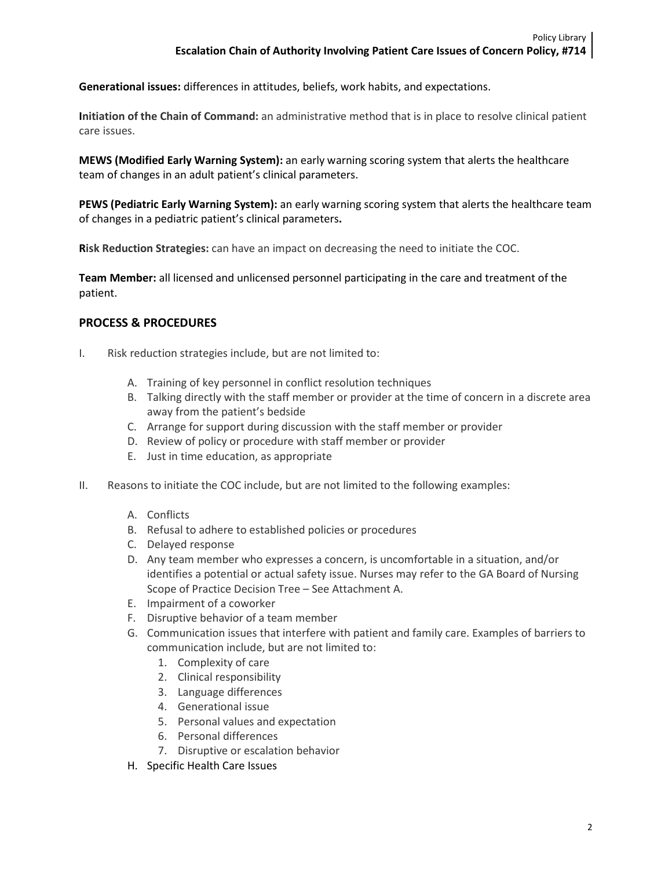**Generational issues:** differences in attitudes, beliefs, work habits, and expectations.

**Initiation of the Chain of Command:** an administrative method that is in place to resolve clinical patient care issues.

**MEWS (Modified Early Warning System):** an early warning scoring system that alerts the healthcare team of changes in an adult patient's clinical parameters.

**PEWS (Pediatric Early Warning System):** an early warning scoring system that alerts the healthcare team of changes in a pediatric patient's clinical parameters**.**

**Risk Reduction Strategies:** can have an impact on decreasing the need to initiate the COC.

**Team Member:** all licensed and unlicensed personnel participating in the care and treatment of the patient.

### **PROCESS & PROCEDURES**

- I. Risk reduction strategies include, but are not limited to:
	- A. Training of key personnel in conflict resolution techniques
	- B. Talking directly with the staff member or provider at the time of concern in a discrete area away from the patient's bedside
	- C. Arrange for support during discussion with the staff member or provider
	- D. Review of policy or procedure with staff member or provider
	- E. Just in time education, as appropriate
- II. Reasons to initiate the COC include, but are not limited to the following examples:
	- A. Conflicts
	- B. Refusal to adhere to established policies or procedures
	- C. Delayed response
	- D. Any team member who expresses a concern, is uncomfortable in a situation, and/or identifies a potential or actual safety issue. Nurses may refer to the GA Board of Nursing Scope of Practice Decision Tree – See Attachment A.
	- E. Impairment of a coworker
	- F. Disruptive behavior of a team member
	- G. Communication issues that interfere with patient and family care. Examples of barriers to communication include, but are not limited to:
		- 1. Complexity of care
		- 2. Clinical responsibility
		- 3. Language differences
		- 4. Generational issue
		- 5. Personal values and expectation
		- 6. Personal differences
		- 7. Disruptive or escalation behavior
	- H. Specific Health Care Issues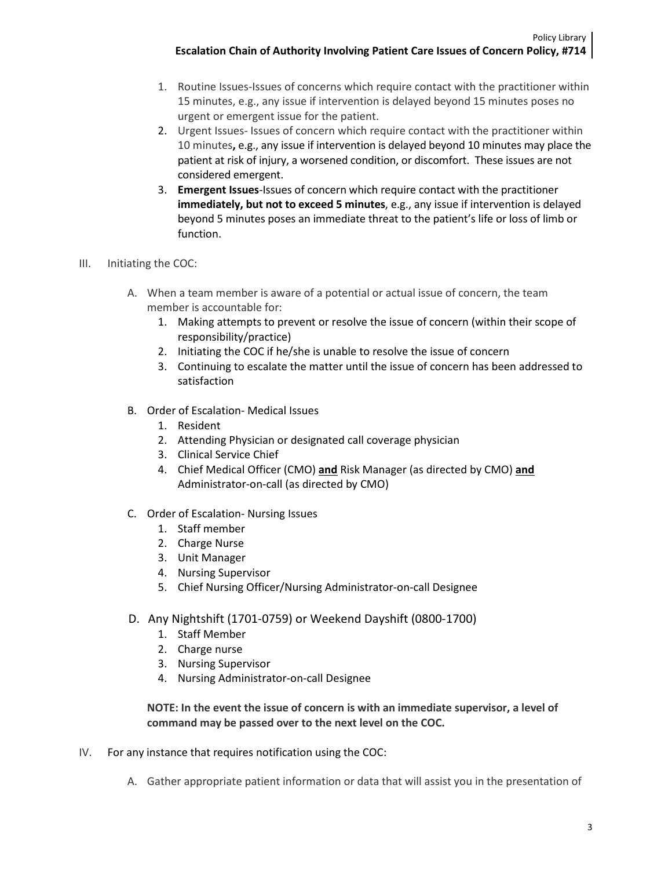- 1. Routine Issues-Issues of concerns which require contact with the practitioner within 15 minutes, e.g., any issue if intervention is delayed beyond 15 minutes poses no urgent or emergent issue for the patient.
- 2. Urgent Issues- Issues of concern which require contact with the practitioner within 10 minutes**,** e.g., any issue if intervention is delayed beyond 10 minutes may place the patient at risk of injury, a worsened condition, or discomfort. These issues are not considered emergent.
- 3. **Emergent Issues**-Issues of concern which require contact with the practitioner **immediately, but not to exceed 5 minutes**, e.g., any issue if intervention is delayed beyond 5 minutes poses an immediate threat to the patient's life or loss of limb or function.

## III. Initiating the COC:

- A. When a team member is aware of a potential or actual issue of concern, the team member is accountable for:
	- 1. Making attempts to prevent or resolve the issue of concern (within their scope of responsibility/practice)
	- 2. Initiating the COC if he/she is unable to resolve the issue of concern
	- 3. Continuing to escalate the matter until the issue of concern has been addressed to satisfaction
- B. Order of Escalation- Medical Issues
	- 1. Resident
	- 2. Attending Physician or designated call coverage physician
	- 3. Clinical Service Chief
	- 4. Chief Medical Officer (CMO) **and** Risk Manager (as directed by CMO) **and** Administrator-on-call (as directed by CMO)
- C. Order of Escalation- Nursing Issues
	- 1. Staff member
	- 2. Charge Nurse
	- 3. Unit Manager
	- 4. Nursing Supervisor
	- 5. Chief Nursing Officer/Nursing Administrator-on-call Designee
- D. Any Nightshift (1701-0759) or Weekend Dayshift (0800-1700)
	- 1. Staff Member
	- 2. Charge nurse
	- 3. Nursing Supervisor
	- 4. Nursing Administrator-on-call Designee

**NOTE: In the event the issue of concern is with an immediate supervisor, a level of command may be passed over to the next level on the COC.** 

- IV. For any instance that requires notification using the COC:
	- A. Gather appropriate patient information or data that will assist you in the presentation of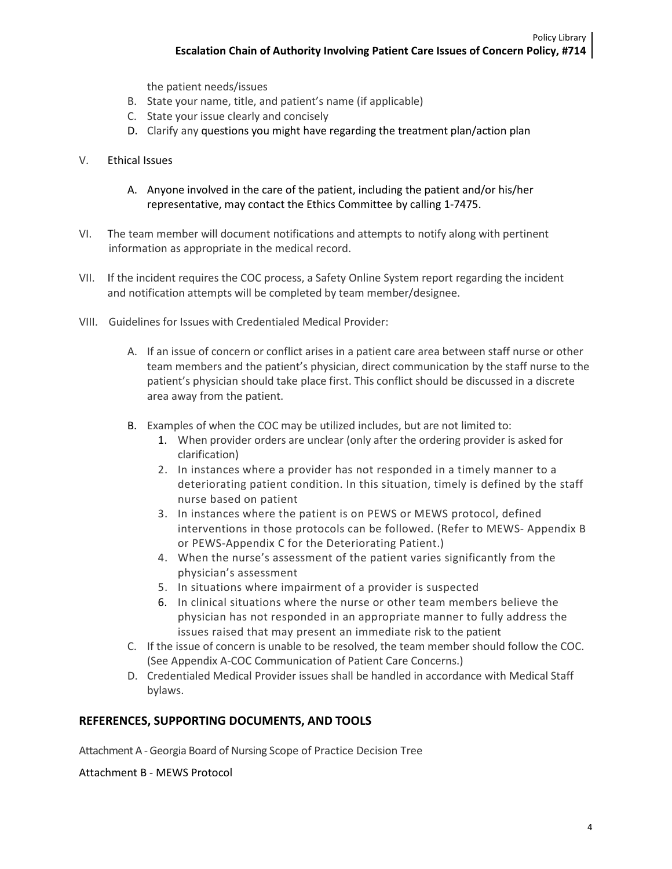the patient needs/issues

- B. State your name, title, and patient's name (if applicable)
- C. State your issue clearly and concisely
- D. Clarify any questions you might have regarding the treatment plan/action plan
- V. Ethical Issues
	- A. Anyone involved in the care of the patient, including the patient and/or his/her representative, may contact the Ethics Committee by calling 1-7475.
- VI. The team member will document notifications and attempts to notify along with pertinent information as appropriate in the medical record.
- VII. If the incident requires the COC process, a Safety Online System report regarding the incident and notification attempts will be completed by team member/designee.
- VIII. Guidelines for Issues with Credentialed Medical Provider:
	- A. If an issue of concern or conflict arises in a patient care area between staff nurse or other team members and the patient's physician, direct communication by the staff nurse to the patient's physician should take place first. This conflict should be discussed in a discrete area away from the patient.
	- B. Examples of when the COC may be utilized includes, but are not limited to:
		- 1. When provider orders are unclear (only after the ordering provider is asked for clarification)
		- 2. In instances where a provider has not responded in a timely manner to a deteriorating patient condition. In this situation, timely is defined by the staff nurse based on patient
		- 3. In instances where the patient is on PEWS or MEWS protocol, defined interventions in those protocols can be followed. (Refer to MEWS- Appendix B or PEWS-Appendix C for the Deteriorating Patient.)
		- 4. When the nurse's assessment of the patient varies significantly from the physician's assessment
		- 5. In situations where impairment of a provider is suspected
		- 6. In clinical situations where the nurse or other team members believe the physician has not responded in an appropriate manner to fully address the issues raised that may present an immediate risk to the patient
	- C. If the issue of concern is unable to be resolved, the team member should follow the COC. (See Appendix A-COC Communication of Patient Care Concerns.)
	- D. Credentialed Medical Provider issues shall be handled in accordance with Medical Staff bylaws.

### **REFERENCES, SUPPORTING DOCUMENTS, AND TOOLS**

Attachment A - Georgia Board of Nursing Scope of Practice Decision Tree

Attachment B - MEWS Protocol